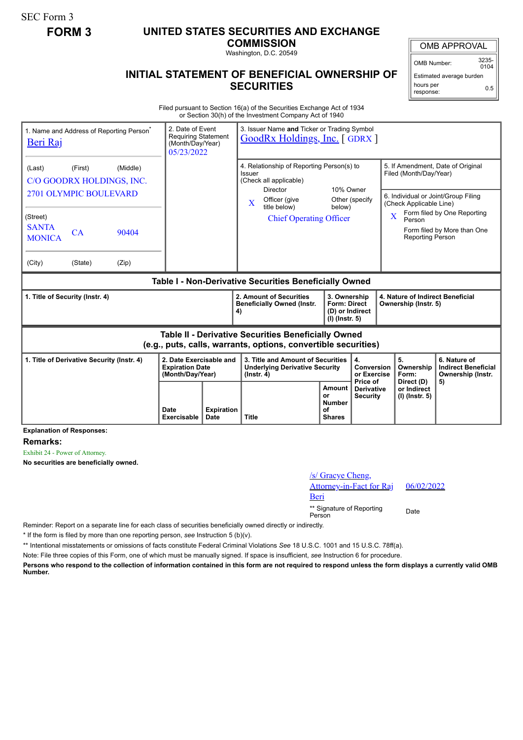SEC Form 3

## **FORM 3 UNITED STATES SECURITIES AND EXCHANGE**

**COMMISSION**

Washington, D.C. 20549

## **INITIAL STATEMENT OF BENEFICIAL OWNERSHIP OF SECURITIES**

OMB APPROVAL

OMB Number: 3235-  $0104$ 

Estimated average burden hours per response: 0.5

Filed pursuant to Section 16(a) of the Securities Exchange Act of 1934 or Section 30(h) of the Investment Company Act of 1940

| 1. Name and Address of Reporting Person <sup>®</sup><br>Beri Raj                                                      | 2. Date of Event<br><b>Requiring Statement</b><br>(Month/Day/Year)<br>05/23/2022 |                           | 3. Issuer Name and Ticker or Trading Symbol<br><b>GoodRx Holdings, Inc. [ GDRX ]</b>                 |                                                      |                                                                                                  |                                                                                                                                                                                     |                                                                 |  |
|-----------------------------------------------------------------------------------------------------------------------|----------------------------------------------------------------------------------|---------------------------|------------------------------------------------------------------------------------------------------|------------------------------------------------------|--------------------------------------------------------------------------------------------------|-------------------------------------------------------------------------------------------------------------------------------------------------------------------------------------|-----------------------------------------------------------------|--|
| (First)<br>(Middle)<br>(Last)<br>C/O GOODRX HOLDINGS, INC.                                                            |                                                                                  |                           | 4. Relationship of Reporting Person(s) to<br>Issuer<br>(Check all applicable)<br><b>Director</b>     | 10% Owner                                            |                                                                                                  | 5. If Amendment, Date of Original<br>Filed (Month/Day/Year)                                                                                                                         |                                                                 |  |
| 2701 OLYMPIC BOULEVARD<br>(Street)<br><b>SANTA</b><br>CA<br>90404<br><b>MONICA</b><br>(City)<br>(State)<br>(Zip)      |                                                                                  |                           | Officer (give<br>$\mathbf{X}$<br>title below)<br><b>Chief Operating Officer</b>                      | below)                                               | Other (specify                                                                                   | 6. Individual or Joint/Group Filing<br>(Check Applicable Line)<br>Form filed by One Reporting<br>$\overline{\text{X}}$<br>Person<br>Form filed by More than One<br>Reporting Person |                                                                 |  |
| Table I - Non-Derivative Securities Beneficially Owned                                                                |                                                                                  |                           |                                                                                                      |                                                      |                                                                                                  |                                                                                                                                                                                     |                                                                 |  |
| 1. Title of Security (Instr. 4)                                                                                       |                                                                                  |                           | 2. Amount of Securities<br><b>Beneficially Owned (Instr.</b><br>4)                                   |                                                      | 3. Ownership<br><b>Form: Direct</b><br>Ownership (Instr. 5)<br>(D) or Indirect<br>(I) (Instr. 5) |                                                                                                                                                                                     | 4. Nature of Indirect Beneficial                                |  |
| Table II - Derivative Securities Beneficially Owned<br>(e.g., puts, calls, warrants, options, convertible securities) |                                                                                  |                           |                                                                                                      |                                                      |                                                                                                  |                                                                                                                                                                                     |                                                                 |  |
| 1. Title of Derivative Security (Instr. 4)<br>2. Date Exercisable and<br><b>Expiration Date</b><br>(Month/Day/Year)   |                                                                                  |                           | 3. Title and Amount of Securities<br>4.<br><b>Underlying Derivative Security</b><br>$($ lnstr. 4 $)$ |                                                      | Conversion<br>or Exercise<br>Price of                                                            | 5.<br>Ownership<br>Form:                                                                                                                                                            | 6. Nature of<br><b>Indirect Beneficial</b><br>Ownership (Instr. |  |
|                                                                                                                       | Date<br><b>Exercisable</b>                                                       | <b>Expiration</b><br>Date | <b>Title</b>                                                                                         | Amount<br>or<br><b>Number</b><br>of<br><b>Shares</b> | <b>Derivative</b><br><b>Security</b>                                                             | Direct (D)<br>or Indirect<br>(I) (Instr. 5)                                                                                                                                         | 5)                                                              |  |

**Explanation of Responses:**

**Remarks:**

Exhibit 24 - Power of Attorney.

**No securities are beneficially owned.**

| /s/ Gracye Cheng,<br>Attorney-in-Fact for Raj<br>Beri | 06/02/2022 |
|-------------------------------------------------------|------------|
| ** Signature of Reporting<br>Person                   | Date       |

Reminder: Report on a separate line for each class of securities beneficially owned directly or indirectly.

\* If the form is filed by more than one reporting person, *see* Instruction 5 (b)(v).

\*\* Intentional misstatements or omissions of facts constitute Federal Criminal Violations *See* 18 U.S.C. 1001 and 15 U.S.C. 78ff(a).

Note: File three copies of this Form, one of which must be manually signed. If space is insufficient, *see* Instruction 6 for procedure.

**Persons who respond to the collection of information contained in this form are not required to respond unless the form displays a currently valid OMB Number.**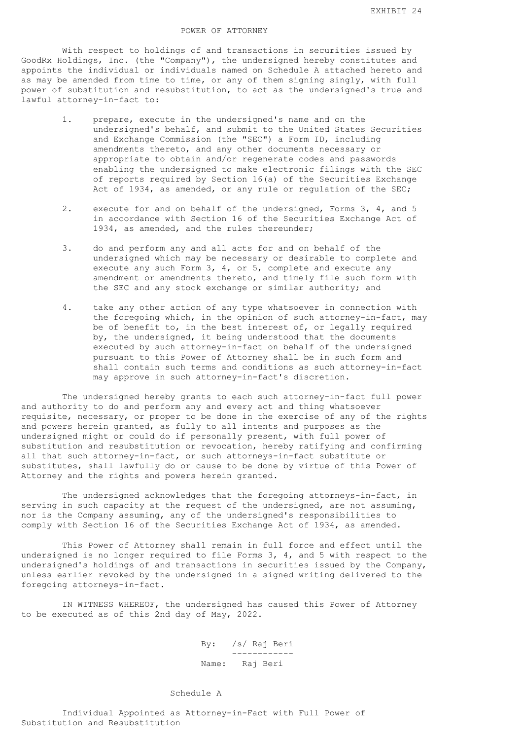## POWER OF ATTORNEY

 With respect to holdings of and transactions in securities issued by GoodRx Holdings, Inc. (the "Company"), the undersigned hereby constitutes and appoints the individual or individuals named on Schedule A attached hereto and as may be amended from time to time, or any of them signing singly, with full power of substitution and resubstitution, to act as the undersigned's true and lawful attorney-in-fact to:

- 1. prepare, execute in the undersigned's name and on the undersigned's behalf, and submit to the United States Securities and Exchange Commission (the "SEC") a Form ID, including amendments thereto, and any other documents necessary or appropriate to obtain and/or regenerate codes and passwords enabling the undersigned to make electronic filings with the SEC of reports required by Section 16(a) of the Securities Exchange Act of 1934, as amended, or any rule or regulation of the SEC;
- 2. execute for and on behalf of the undersigned, Forms 3, 4, and 5 in accordance with Section 16 of the Securities Exchange Act of 1934, as amended, and the rules thereunder;
- 3. do and perform any and all acts for and on behalf of the undersigned which may be necessary or desirable to complete and execute any such Form 3, 4, or 5, complete and execute any amendment or amendments thereto, and timely file such form with the SEC and any stock exchange or similar authority; and
- 4. take any other action of any type whatsoever in connection with the foregoing which, in the opinion of such attorney-in-fact, may be of benefit to, in the best interest of, or legally required by, the undersigned, it being understood that the documents executed by such attorney-in-fact on behalf of the undersigned pursuant to this Power of Attorney shall be in such form and shall contain such terms and conditions as such attorney-in-fact may approve in such attorney-in-fact's discretion.

 The undersigned hereby grants to each such attorney-in-fact full power and authority to do and perform any and every act and thing whatsoever requisite, necessary, or proper to be done in the exercise of any of the rights and powers herein granted, as fully to all intents and purposes as the undersigned might or could do if personally present, with full power of substitution and resubstitution or revocation, hereby ratifying and confirming all that such attorney-in-fact, or such attorneys-in-fact substitute or substitutes, shall lawfully do or cause to be done by virtue of this Power of Attorney and the rights and powers herein granted.

 The undersigned acknowledges that the foregoing attorneys-in-fact, in serving in such capacity at the request of the undersigned, are not assuming, nor is the Company assuming, any of the undersigned's responsibilities to comply with Section 16 of the Securities Exchange Act of 1934, as amended.

 This Power of Attorney shall remain in full force and effect until the undersigned is no longer required to file Forms 3, 4, and 5 with respect to the undersigned's holdings of and transactions in securities issued by the Company, unless earlier revoked by the undersigned in a signed writing delivered to the foregoing attorneys-in-fact.

 IN WITNESS WHEREOF, the undersigned has caused this Power of Attorney to be executed as of this 2nd day of May, 2022.

> By: /s/ Raj Beri ------------ Name: Raj Beri

## Schedule A

 Individual Appointed as Attorney-in-Fact with Full Power of Substitution and Resubstitution